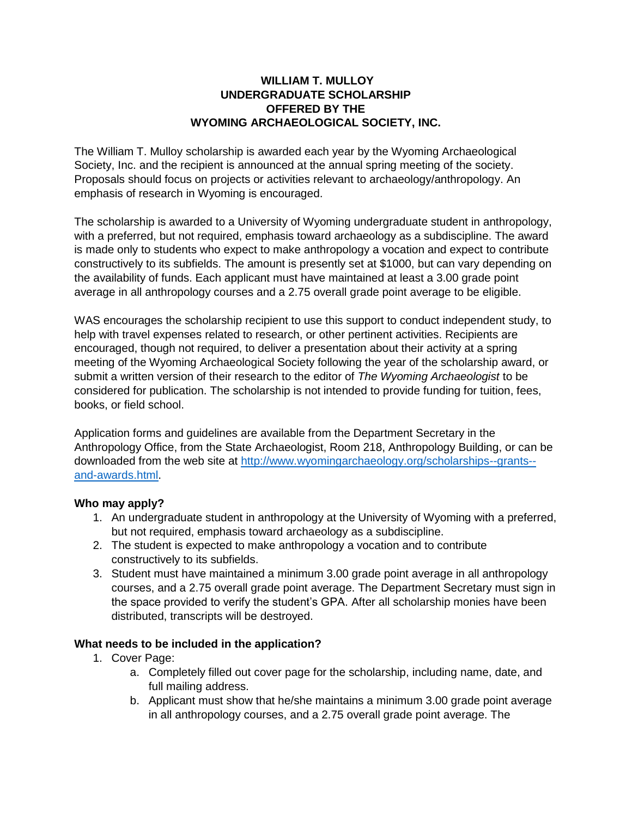## **WILLIAM T. MULLOY UNDERGRADUATE SCHOLARSHIP OFFERED BY THE WYOMING ARCHAEOLOGICAL SOCIETY, INC.**

The William T. Mulloy scholarship is awarded each year by the Wyoming Archaeological Society, Inc. and the recipient is announced at the annual spring meeting of the society. Proposals should focus on projects or activities relevant to archaeology/anthropology. An emphasis of research in Wyoming is encouraged.

The scholarship is awarded to a University of Wyoming undergraduate student in anthropology, with a preferred, but not required, emphasis toward archaeology as a subdiscipline. The award is made only to students who expect to make anthropology a vocation and expect to contribute constructively to its subfields. The amount is presently set at \$1000, but can vary depending on the availability of funds. Each applicant must have maintained at least a 3.00 grade point average in all anthropology courses and a 2.75 overall grade point average to be eligible.

WAS encourages the scholarship recipient to use this support to conduct independent study, to help with travel expenses related to research, or other pertinent activities. Recipients are encouraged, though not required, to deliver a presentation about their activity at a spring meeting of the Wyoming Archaeological Society following the year of the scholarship award, or submit a written version of their research to the editor of *The Wyoming Archaeologist* to be considered for publication. The scholarship is not intended to provide funding for tuition, fees, books, or field school.

Application forms and guidelines are available from the Department Secretary in the Anthropology Office, from the State Archaeologist, Room 218, Anthropology Building, or can be downloaded from the web site at [http://www.wyomingarchaeology.org/scholarships--grants-](http://www.wyomingarchaeology.org/scholarships--grants--and-awards.html) [and-awards.html.](http://www.wyomingarchaeology.org/scholarships--grants--and-awards.html)

### **Who may apply?**

- 1. An undergraduate student in anthropology at the University of Wyoming with a preferred, but not required, emphasis toward archaeology as a subdiscipline.
- 2. The student is expected to make anthropology a vocation and to contribute constructively to its subfields.
- 3. Student must have maintained a minimum 3.00 grade point average in all anthropology courses, and a 2.75 overall grade point average. The Department Secretary must sign in the space provided to verify the student's GPA. After all scholarship monies have been distributed, transcripts will be destroyed.

### **What needs to be included in the application?**

- 1. Cover Page:
	- a. Completely filled out cover page for the scholarship, including name, date, and full mailing address.
	- b. Applicant must show that he/she maintains a minimum 3.00 grade point average in all anthropology courses, and a 2.75 overall grade point average. The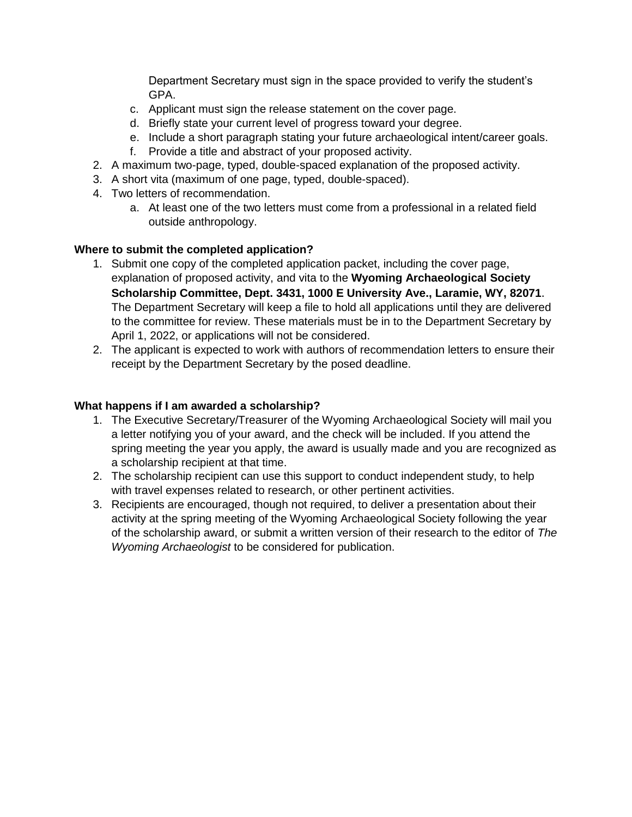Department Secretary must sign in the space provided to verify the student's GPA.

- c. Applicant must sign the release statement on the cover page.
- d. Briefly state your current level of progress toward your degree.
- e. Include a short paragraph stating your future archaeological intent/career goals.
- f. Provide a title and abstract of your proposed activity.
- 2. A maximum two-page, typed, double-spaced explanation of the proposed activity.
- 3. A short vita (maximum of one page, typed, double-spaced).
- 4. Two letters of recommendation.
	- a. At least one of the two letters must come from a professional in a related field outside anthropology.

## **Where to submit the completed application?**

- 1. Submit one copy of the completed application packet, including the cover page, explanation of proposed activity, and vita to the **Wyoming Archaeological Society Scholarship Committee, Dept. 3431, 1000 E University Ave., Laramie, WY, 82071**. The Department Secretary will keep a file to hold all applications until they are delivered to the committee for review. These materials must be in to the Department Secretary by April 1, 2022, or applications will not be considered.
- 2. The applicant is expected to work with authors of recommendation letters to ensure their receipt by the Department Secretary by the posed deadline.

### **What happens if I am awarded a scholarship?**

- 1. The Executive Secretary/Treasurer of the Wyoming Archaeological Society will mail you a letter notifying you of your award, and the check will be included. If you attend the spring meeting the year you apply, the award is usually made and you are recognized as a scholarship recipient at that time.
- 2. The scholarship recipient can use this support to conduct independent study, to help with travel expenses related to research, or other pertinent activities.
- 3. Recipients are encouraged, though not required, to deliver a presentation about their activity at the spring meeting of the Wyoming Archaeological Society following the year of the scholarship award, or submit a written version of their research to the editor of *The Wyoming Archaeologist* to be considered for publication.